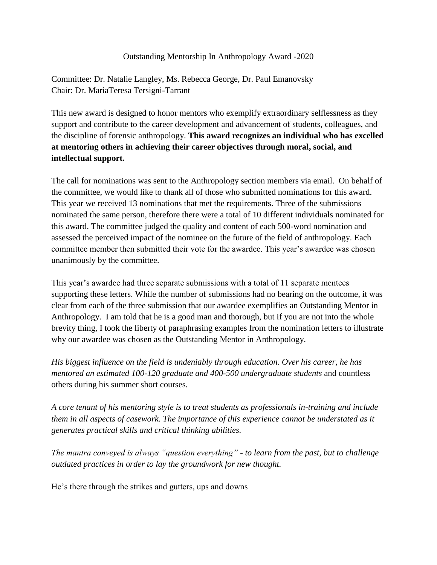## Outstanding Mentorship In Anthropology Award -2020

Committee: Dr. Natalie Langley, Ms. Rebecca George, Dr. Paul Emanovsky Chair: Dr. MariaTeresa Tersigni-Tarrant

This new award is designed to honor mentors who exemplify extraordinary selflessness as they support and contribute to the career development and advancement of students, colleagues, and the discipline of forensic anthropology. **This award recognizes an individual who has excelled at mentoring others in achieving their career objectives through moral, social, and intellectual support.**

The call for nominations was sent to the Anthropology section members via email. On behalf of the committee, we would like to thank all of those who submitted nominations for this award. This year we received 13 nominations that met the requirements. Three of the submissions nominated the same person, therefore there were a total of 10 different individuals nominated for this award. The committee judged the quality and content of each 500-word nomination and assessed the perceived impact of the nominee on the future of the field of anthropology. Each committee member then submitted their vote for the awardee. This year's awardee was chosen unanimously by the committee.

This year's awardee had three separate submissions with a total of 11 separate mentees supporting these letters. While the number of submissions had no bearing on the outcome, it was clear from each of the three submission that our awardee exemplifies an Outstanding Mentor in Anthropology. I am told that he is a good man and thorough, but if you are not into the whole brevity thing, I took the liberty of paraphrasing examples from the nomination letters to illustrate why our awardee was chosen as the Outstanding Mentor in Anthropology.

*His biggest influence on the field is undeniably through education. Over his career, he has mentored an estimated 100-120 graduate and 400-500 undergraduate students* and countless others during his summer short courses.

*A core tenant of his mentoring style is to treat students as professionals in-training and include them in all aspects of casework. The importance of this experience cannot be understated as it generates practical skills and critical thinking abilities.*

*The mantra conveyed is always "question everything" - to learn from the past, but to challenge outdated practices in order to lay the groundwork for new thought.*

He's there through the strikes and gutters, ups and downs